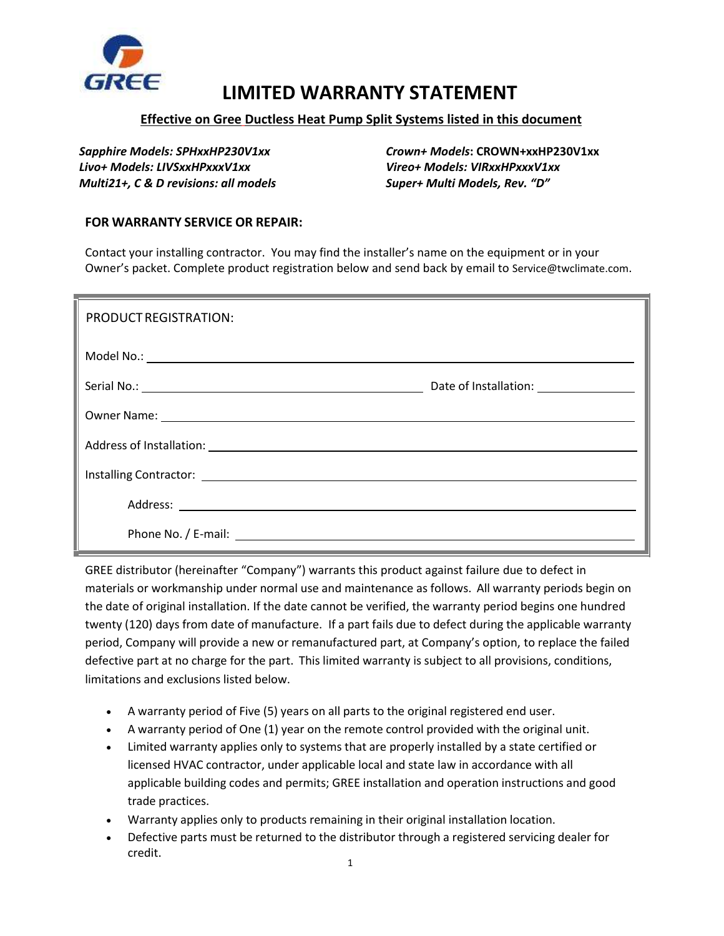

## **LIMITED WARRANTY STATEMENT**

## **Effective on Gree Ductless Heat Pump Split Systems listed in this document**

*Livo+ Models: LIVSxxHPxxxV1xx**Vireo+ Models: VIRxxHPxxxV1xx Multi21+, C & D revisions: all models Super+ Multi Models, Rev. "D"*

*Sapphire Models: SPHxxHP230V1xx Crown+ Models***: CROWN+xxHP230V1xx**

## **FOR WARRANTY SERVICE OR REPAIR:**

Contact your installing contractor. You may find the installer's name on the equipment or in your Owner's packet. Complete product registration below and send back by email to Service@twclimate.com.

| PRODUCT REGISTRATION: |                                         |
|-----------------------|-----------------------------------------|
|                       |                                         |
|                       | Date of Installation: _________________ |
|                       |                                         |
|                       |                                         |
|                       |                                         |
|                       |                                         |
|                       |                                         |

GREE distributor (hereinafter "Company") warrants this product against failure due to defect in materials or workmanship under normal use and maintenance as follows. All warranty periods begin on the date of original installation. If the date cannot be verified, the warranty period begins one hundred twenty (120) days from date of manufacture. If a part fails due to defect during the applicable warranty period, Company will provide a new or remanufactured part, at Company's option, to replace the failed defective part at no charge for the part. This limited warranty is subject to all provisions, conditions, limitations and exclusions listed below.

- A warranty period of Five (5) years on all parts to the original registered end user.
- A warranty period of One (1) year on the remote control provided with the original unit.
- Limited warranty applies only to systems that are properly installed by a state certified or licensed HVAC contractor, under applicable local and state law in accordance with all applicable building codes and permits; GREE installation and operation instructions and good trade practices.
- Warranty applies only to products remaining in their original installation location.
- Defective parts must be returned to the distributor through a registered servicing dealer for credit.